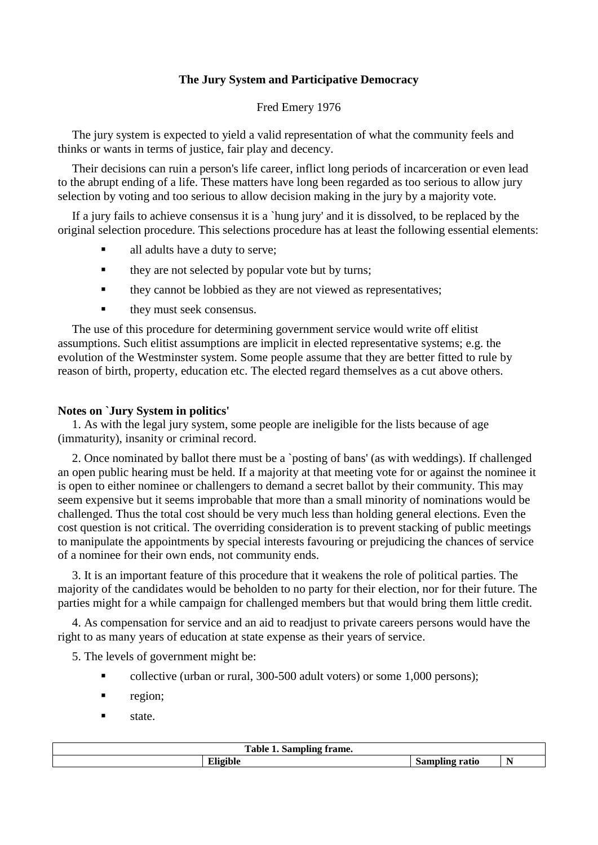# **The Jury System and Participative Democracy**

## Fred Emery 1976

The jury system is expected to yield a valid representation of what the community feels and thinks or wants in terms of justice, fair play and decency.

Their decisions can ruin a person's life career, inflict long periods of incarceration or even lead to the abrupt ending of a life. These matters have long been regarded as too serious to allow jury selection by voting and too serious to allow decision making in the jury by a majority vote.

If a jury fails to achieve consensus it is a `hung jury' and it is dissolved, to be replaced by the original selection procedure. This selections procedure has at least the following essential elements:

- all adults have a duty to serve;
- they are not selected by popular vote but by turns;
- they cannot be lobbied as they are not viewed as representatives;
- **•** they must seek consensus.

The use of this procedure for determining government service would write off elitist assumptions. Such elitist assumptions are implicit in elected representative systems; e.g. the evolution of the Westminster system. Some people assume that they are better fitted to rule by reason of birth, property, education etc. The elected regard themselves as a cut above others.

## **Notes on `Jury System in politics'**

1. As with the legal jury system, some people are ineligible for the lists because of age (immaturity), insanity or criminal record.

2. Once nominated by ballot there must be a `posting of bans' (as with weddings). If challenged an open public hearing must be held. If a majority at that meeting vote for or against the nominee it is open to either nominee or challengers to demand a secret ballot by their community. This may seem expensive but it seems improbable that more than a small minority of nominations would be challenged. Thus the total cost should be very much less than holding general elections. Even the cost question is not critical. The overriding consideration is to prevent stacking of public meetings to manipulate the appointments by special interests favouring or prejudicing the chances of service of a nominee for their own ends, not community ends.

3. It is an important feature of this procedure that it weakens the role of political parties. The majority of the candidates would be beholden to no party for their election, nor for their future. The parties might for a while campaign for challenged members but that would bring them little credit.

4. As compensation for service and an aid to readjust to private careers persons would have the right to as many years of education at state expense as their years of service.

5. The levels of government might be:

- collective (urban or rural, 300-500 adult voters) or some 1,000 persons);
- region;
- state.

| r'able<br>frame.<br>.<br>------<br>Башршпу |              |                                 |          |  |
|--------------------------------------------|--------------|---------------------------------|----------|--|
|                                            | $\mathbf{H}$ | ratio<br>$\sim$ $\sim$<br>рашрш | n<br>. . |  |
|                                            |              |                                 |          |  |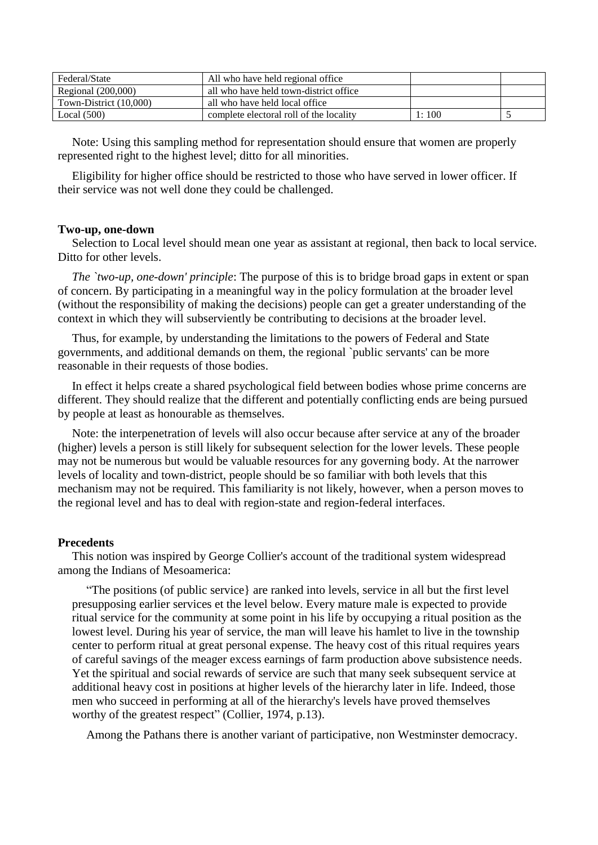| Federal/State            | All who have held regional office       |       |  |
|--------------------------|-----------------------------------------|-------|--|
| Regional (200,000)       | all who have held town-district office  |       |  |
| Town-District $(10,000)$ | all who have held local office          |       |  |
| Local $(500)$            | complete electoral roll of the locality | 1:100 |  |

Note: Using this sampling method for representation should ensure that women are properly represented right to the highest level; ditto for all minorities.

Eligibility for higher office should be restricted to those who have served in lower officer. If their service was not well done they could be challenged.

#### **Two-up, one-down**

Selection to Local level should mean one year as assistant at regional, then back to local service. Ditto for other levels.

*The `two-up, one-down' principle*: The purpose of this is to bridge broad gaps in extent or span of concern. By participating in a meaningful way in the policy formulation at the broader level (without the responsibility of making the decisions) people can get a greater understanding of the context in which they will subserviently be contributing to decisions at the broader level.

Thus, for example, by understanding the limitations to the powers of Federal and State governments, and additional demands on them, the regional `public servants' can be more reasonable in their requests of those bodies.

In effect it helps create a shared psychological field between bodies whose prime concerns are different. They should realize that the different and potentially conflicting ends are being pursued by people at least as honourable as themselves.

Note: the interpenetration of levels will also occur because after service at any of the broader (higher) levels a person is still likely for subsequent selection for the lower levels. These people may not be numerous but would be valuable resources for any governing body. At the narrower levels of locality and town-district, people should be so familiar with both levels that this mechanism may not be required. This familiarity is not likely, however, when a person moves to the regional level and has to deal with region-state and region-federal interfaces.

#### **Precedents**

This notion was inspired by George Collier's account of the traditional system widespread among the Indians of Mesoamerica:

"The positions (of public service} are ranked into levels, service in all but the first level presupposing earlier services et the level below. Every mature male is expected to provide ritual service for the community at some point in his life by occupying a ritual position as the lowest level. During his year of service, the man will leave his hamlet to live in the township center to perform ritual at great personal expense. The heavy cost of this ritual requires years of careful savings of the meager excess earnings of farm production above subsistence needs. Yet the spiritual and social rewards of service are such that many seek subsequent service at additional heavy cost in positions at higher levels of the hierarchy later in life. Indeed, those men who succeed in performing at all of the hierarchy's levels have proved themselves worthy of the greatest respect" (Collier, 1974, p.13).

Among the Pathans there is another variant of participative, non Westminster democracy.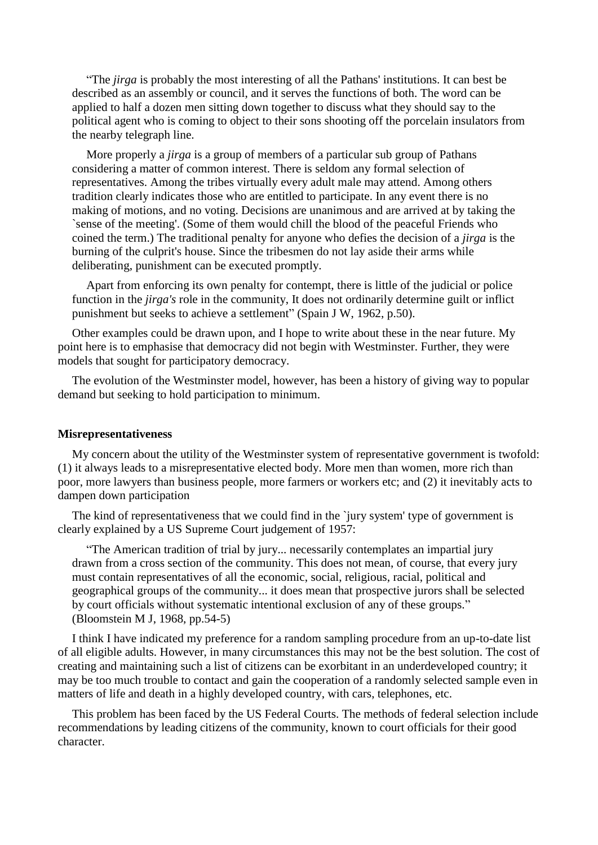"The *jirga* is probably the most interesting of all the Pathans' institutions. It can best be described as an assembly or council, and it serves the functions of both. The word can be applied to half a dozen men sitting down together to discuss what they should say to the political agent who is coming to object to their sons shooting off the porcelain insulators from the nearby telegraph line.

More properly a *jirga* is a group of members of a particular sub group of Pathans considering a matter of common interest. There is seldom any formal selection of representatives. Among the tribes virtually every adult male may attend. Among others tradition clearly indicates those who are entitled to participate. In any event there is no making of motions, and no voting. Decisions are unanimous and are arrived at by taking the `sense of the meeting'. (Some of them would chill the blood of the peaceful Friends who coined the term.) The traditional penalty for anyone who defies the decision of a *jirga* is the burning of the culprit's house. Since the tribesmen do not lay aside their arms while deliberating, punishment can be executed promptly.

Apart from enforcing its own penalty for contempt, there is little of the judicial or police function in the *jirga's* role in the community, It does not ordinarily determine guilt or inflict punishment but seeks to achieve a settlement" (Spain J W, 1962, p.50).

Other examples could be drawn upon, and I hope to write about these in the near future. My point here is to emphasise that democracy did not begin with Westminster. Further, they were models that sought for participatory democracy.

The evolution of the Westminster model, however, has been a history of giving way to popular demand but seeking to hold participation to minimum.

#### **Misrepresentativeness**

My concern about the utility of the Westminster system of representative government is twofold: (1) it always leads to a misrepresentative elected body. More men than women, more rich than poor, more lawyers than business people, more farmers or workers etc; and (2) it inevitably acts to dampen down participation

The kind of representativeness that we could find in the 'jury system' type of government is clearly explained by a US Supreme Court judgement of 1957:

"The American tradition of trial by jury... necessarily contemplates an impartial jury drawn from a cross section of the community. This does not mean, of course, that every jury must contain representatives of all the economic, social, religious, racial, political and geographical groups of the community... it does mean that prospective jurors shall be selected by court officials without systematic intentional exclusion of any of these groups." (Bloomstein M J, 1968, pp.54-5)

I think I have indicated my preference for a random sampling procedure from an up-to-date list of all eligible adults. However, in many circumstances this may not be the best solution. The cost of creating and maintaining such a list of citizens can be exorbitant in an underdeveloped country; it may be too much trouble to contact and gain the cooperation of a randomly selected sample even in matters of life and death in a highly developed country, with cars, telephones, etc.

This problem has been faced by the US Federal Courts. The methods of federal selection include recommendations by leading citizens of the community, known to court officials for their good character.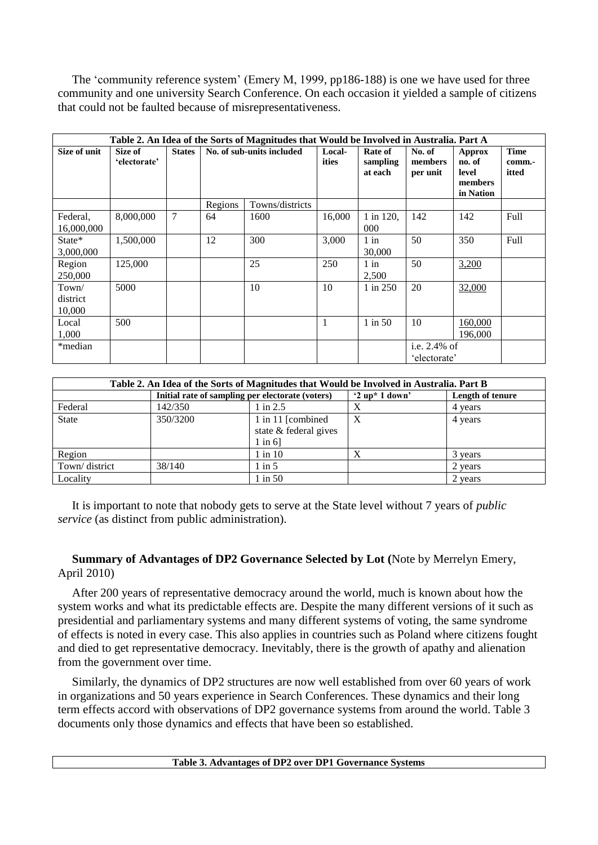The 'community reference system' (Emery M, 1999, pp186-188) is one we have used for three community and one university Search Conference. On each occasion it yielded a sample of citizens that could not be faulted because of misrepresentativeness.

| Table 2. An Idea of the Sorts of Magnitudes that Would be Involved in Australia. Part A |                         |                |                           |                 |                 |                                |                                 |                                                   |                                |
|-----------------------------------------------------------------------------------------|-------------------------|----------------|---------------------------|-----------------|-----------------|--------------------------------|---------------------------------|---------------------------------------------------|--------------------------------|
| Size of unit                                                                            | Size of<br>'electorate' | <b>States</b>  | No. of sub-units included |                 | Local-<br>ities | Rate of<br>sampling<br>at each | No. of<br>members<br>per unit   | Approx<br>no. of<br>level<br>members<br>in Nation | <b>Time</b><br>comm.-<br>itted |
|                                                                                         |                         |                | Regions                   | Towns/districts |                 |                                |                                 |                                                   |                                |
| Federal.<br>16,000,000                                                                  | 8,000,000               | $\overline{7}$ | 64                        | 1600            | 16,000          | 1 in 120,<br>000               | 142                             | 142                                               | Full                           |
| State*<br>3,000,000                                                                     | 1,500,000               |                | 12                        | 300             | 3,000           | $1$ in<br>30,000               | 50                              | 350                                               | Full                           |
| Region<br>250,000                                                                       | 125,000                 |                |                           | 25              | 250             | $1$ in<br>2,500                | 50                              | 3,200                                             |                                |
| Town/<br>district<br>10,000                                                             | 5000                    |                |                           | 10              | 10              | $1$ in $250$                   | 20                              | 32,000                                            |                                |
| Local<br>1,000                                                                          | 500                     |                |                           |                 | 1               | $1$ in 50                      | 10                              | 160,000<br>196,000                                |                                |
| *median                                                                                 |                         |                |                           |                 |                 |                                | i.e. $2.4\%$ of<br>'electorate' |                                                   |                                |

| Table 2. An Idea of the Sorts of Magnitudes that Would be Involved in Australia. Part B |                                                  |                       |                |                  |
|-----------------------------------------------------------------------------------------|--------------------------------------------------|-----------------------|----------------|------------------|
|                                                                                         | Initial rate of sampling per electorate (voters) |                       | '2 up* 1 down' | Length of tenure |
| Federal                                                                                 | 142/350                                          | 1 in 2.5              | X              | 4 years          |
| <b>State</b>                                                                            | 350/3200                                         | 1 in 11 [combined]    | X              | 4 years          |
|                                                                                         |                                                  | state & federal gives |                |                  |
|                                                                                         |                                                  | $1$ in 6]             |                |                  |
| Region                                                                                  |                                                  | $1$ in $10$           | X              | 3 years          |
| Town/district                                                                           | 38/140                                           | 1 in 5                |                | 2 years          |
| Locality                                                                                |                                                  | $1$ in 50             |                | 2 years          |

It is important to note that nobody gets to serve at the State level without 7 years of *public service* (as distinct from public administration).

## **Summary of Advantages of DP2 Governance Selected by Lot (**Note by Merrelyn Emery, April 2010)

After 200 years of representative democracy around the world, much is known about how the system works and what its predictable effects are. Despite the many different versions of it such as presidential and parliamentary systems and many different systems of voting, the same syndrome of effects is noted in every case. This also applies in countries such as Poland where citizens fought and died to get representative democracy. Inevitably, there is the growth of apathy and alienation from the government over time.

Similarly, the dynamics of DP2 structures are now well established from over 60 years of work in organizations and 50 years experience in Search Conferences. These dynamics and their long term effects accord with observations of DP2 governance systems from around the world. Table 3 documents only those dynamics and effects that have been so established.

**Table 3. Advantages of DP2 over DP1 Governance Systems**